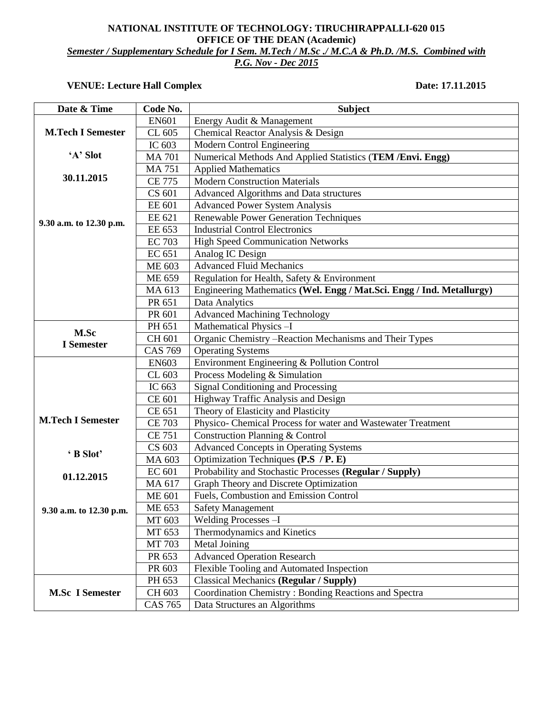## **NATIONAL INSTITUTE OF TECHNOLOGY: TIRUCHIRAPPALLI-620 015 OFFICE OF THE DEAN (Academic)** *Semester / Supplementary Schedule for I Sem. M.Tech / M.Sc ./ M.C.A & Ph.D. /M.S. Combined with P.G. Nov - Dec 2015*

## **VENUE: Lecture Hall Complex Date: 17.11.2015**

| Date & Time               | Code No.       | <b>Subject</b>                                                        |
|---------------------------|----------------|-----------------------------------------------------------------------|
|                           | <b>EN601</b>   | Energy Audit & Management                                             |
| <b>M.Tech I Semester</b>  | CL 605         | Chemical Reactor Analysis & Design                                    |
|                           | IC 603         | Modern Control Engineering                                            |
| 'A' Slot                  | <b>MA 701</b>  | Numerical Methods And Applied Statistics (TEM /Envi. Engg)            |
|                           | <b>MA 751</b>  | <b>Applied Mathematics</b>                                            |
| 30.11.2015                | <b>CE 775</b>  | <b>Modern Construction Materials</b>                                  |
|                           | CS 601         | Advanced Algorithms and Data structures                               |
|                           | <b>EE 601</b>  | <b>Advanced Power System Analysis</b>                                 |
| 9.30 a.m. to 12.30 p.m.   | EE 621         | <b>Renewable Power Generation Techniques</b>                          |
|                           | EE 653         | <b>Industrial Control Electronics</b>                                 |
|                           | <b>EC 703</b>  | <b>High Speed Communication Networks</b>                              |
|                           | EC 651         | Analog IC Design                                                      |
|                           | ME 603         | <b>Advanced Fluid Mechanics</b>                                       |
|                           | ME 659         | Regulation for Health, Safety & Environment                           |
|                           | MA 613         | Engineering Mathematics (Wel. Engg / Mat.Sci. Engg / Ind. Metallurgy) |
|                           | PR 651         | Data Analytics                                                        |
|                           | PR 601         | <b>Advanced Machining Technology</b>                                  |
|                           | PH 651         | Mathematical Physics-I                                                |
| M.Sc<br><b>I</b> Semester | CH 601         | Organic Chemistry - Reaction Mechanisms and Their Types               |
|                           | <b>CAS 769</b> | <b>Operating Systems</b>                                              |
|                           | <b>EN603</b>   | Environment Engineering & Pollution Control                           |
|                           | CL 603         | Process Modeling & Simulation                                         |
|                           | IC 663         | <b>Signal Conditioning and Processing</b>                             |
|                           | CE 601         | Highway Traffic Analysis and Design                                   |
|                           | CE 651         | Theory of Elasticity and Plasticity                                   |
| <b>M.Tech I Semester</b>  | <b>CE 703</b>  | Physico- Chemical Process for water and Wastewater Treatment          |
|                           | <b>CE 751</b>  | Construction Planning & Control                                       |
| 'B Slot'                  | CS 603         | <b>Advanced Concepts in Operating Systems</b>                         |
|                           | MA 603         | Optimization Techniques (P.S / P. E)                                  |
| 01.12.2015                | <b>EC 601</b>  | Probability and Stochastic Processes (Regular / Supply)               |
|                           | MA 617         | Graph Theory and Discrete Optimization                                |
|                           | <b>ME 601</b>  | Fuels, Combustion and Emission Control                                |
| 9.30 a.m. to 12.30 p.m.   | ME 653         | <b>Safety Management</b>                                              |
|                           | MT 603         | Welding Processes -I                                                  |
|                           | MT 653         | Thermodynamics and Kinetics                                           |
|                           | MT 703         | <b>Metal Joining</b>                                                  |
|                           | PR 653         | <b>Advanced Operation Research</b>                                    |
|                           | PR 603         | Flexible Tooling and Automated Inspection                             |
|                           | PH 653         | Classical Mechanics (Regular / Supply)                                |
| <b>M.Sc I Semester</b>    | CH 603         | Coordination Chemistry: Bonding Reactions and Spectra                 |
|                           | CAS 765        | Data Structures an Algorithms                                         |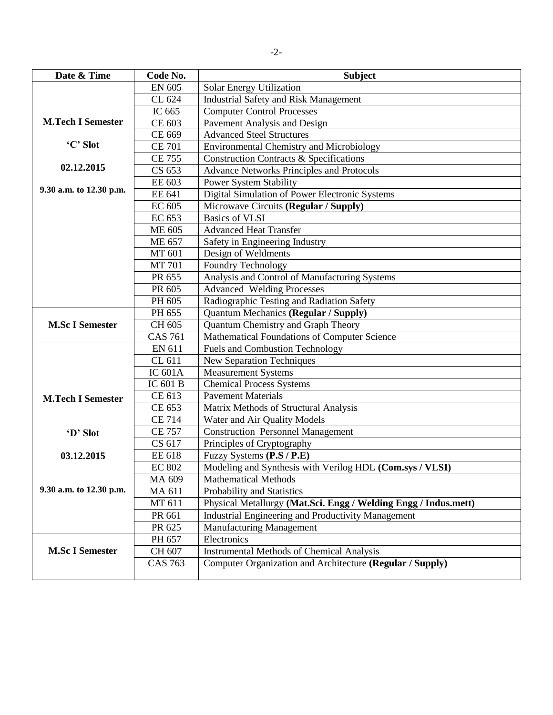| Date & Time              | Code No.       | <b>Subject</b>                                                  |
|--------------------------|----------------|-----------------------------------------------------------------|
|                          | <b>EN 605</b>  | Solar Energy Utilization                                        |
|                          | CL 624         | <b>Industrial Safety and Risk Management</b>                    |
|                          | IC 665         | <b>Computer Control Processes</b>                               |
| <b>M.Tech I Semester</b> | CE 603         | Pavement Analysis and Design                                    |
|                          | CE 669         | <b>Advanced Steel Structures</b>                                |
| 'C' Slot                 | <b>CE 701</b>  | <b>Environmental Chemistry and Microbiology</b>                 |
|                          | <b>CE 755</b>  | <b>Construction Contracts &amp; Specifications</b>              |
| 02.12.2015               | CS 653         | <b>Advance Networks Principles and Protocols</b>                |
|                          | EE 603         | <b>Power System Stability</b>                                   |
| 9.30 a.m. to 12.30 p.m.  | EE 641         | Digital Simulation of Power Electronic Systems                  |
|                          | EC 605         | Microwave Circuits (Regular / Supply)                           |
|                          | EC 653         | <b>Basics of VLSI</b>                                           |
|                          | <b>ME 605</b>  | <b>Advanced Heat Transfer</b>                                   |
|                          | <b>ME 657</b>  | Safety in Engineering Industry                                  |
|                          | MT 601         | Design of Weldments                                             |
|                          | <b>MT 701</b>  | Foundry Technology                                              |
|                          | PR 655         | Analysis and Control of Manufacturing Systems                   |
|                          | PR 605         | <b>Advanced Welding Processes</b>                               |
|                          | PH 605         | Radiographic Testing and Radiation Safety                       |
|                          | PH 655         | Quantum Mechanics (Regular / Supply)                            |
| <b>M.Sc I Semester</b>   | CH 605         | Quantum Chemistry and Graph Theory                              |
|                          | <b>CAS 761</b> | Mathematical Foundations of Computer Science                    |
|                          | EN 611         | <b>Fuels and Combustion Technology</b>                          |
|                          | CL 611         | <b>New Separation Techniques</b>                                |
|                          | <b>IC 601A</b> | <b>Measurement Systems</b>                                      |
|                          | IC 601 B       | <b>Chemical Process Systems</b>                                 |
| <b>M.Tech I Semester</b> | CE 613         | <b>Pavement Materials</b>                                       |
|                          | CE 653         | Matrix Methods of Structural Analysis                           |
|                          | <b>CE 714</b>  | Water and Air Quality Models                                    |
| 'D' Slot                 | <b>CE 757</b>  | <b>Construction Personnel Management</b>                        |
|                          | CS 617         | Principles of Cryptography                                      |
| 03.12.2015               | EE 618         | Fuzzy Systems (P.S / P.E)                                       |
|                          | <b>EC 802</b>  | Modeling and Synthesis with Verilog HDL (Com.sys / VLSI)        |
|                          | MA 609         | <b>Mathematical Methods</b>                                     |
| 9.30 a.m. to 12.30 p.m.  | MA 611         | Probability and Statistics                                      |
|                          | MT 611         | Physical Metallurgy (Mat.Sci. Engg / Welding Engg / Indus.mett) |
|                          | PR 661         | Industrial Engineering and Productivity Management              |
|                          | PR 625         | <b>Manufacturing Management</b>                                 |
|                          | PH 657         | Electronics                                                     |
| <b>M.Sc I Semester</b>   | CH 607         | <b>Instrumental Methods of Chemical Analysis</b>                |
|                          | <b>CAS 763</b> | Computer Organization and Architecture (Regular / Supply)       |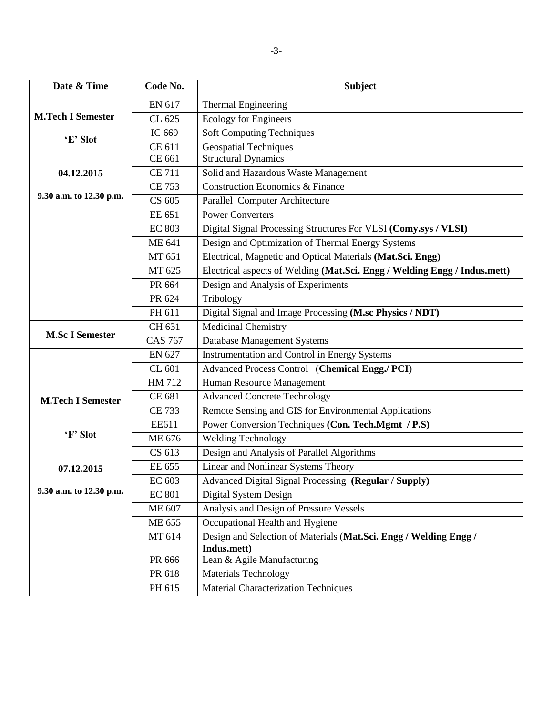| Date & Time              | Code No.       | <b>Subject</b>                                                            |
|--------------------------|----------------|---------------------------------------------------------------------------|
|                          | EN 617         | <b>Thermal Engineering</b>                                                |
| <b>M.Tech I Semester</b> | CL 625         | <b>Ecology for Engineers</b>                                              |
|                          | IC 669         | Soft Computing Techniques                                                 |
| 'E' Slot                 | CE 611         | <b>Geospatial Techniques</b>                                              |
|                          | CE 661         | <b>Structural Dynamics</b>                                                |
| 04.12.2015               | <b>CE 711</b>  | Solid and Hazardous Waste Management                                      |
|                          | <b>CE 753</b>  | <b>Construction Economics &amp; Finance</b>                               |
| 9.30 a.m. to 12.30 p.m.  | CS 605         | Parallel Computer Architecture                                            |
|                          | EE 651         | <b>Power Converters</b>                                                   |
|                          | <b>EC 803</b>  | Digital Signal Processing Structures For VLSI (Comy.sys / VLSI)           |
|                          | ME 641         | Design and Optimization of Thermal Energy Systems                         |
|                          | MT 651         | Electrical, Magnetic and Optical Materials (Mat.Sci. Engg)                |
|                          | MT 625         | Electrical aspects of Welding (Mat.Sci. Engg / Welding Engg / Indus.mett) |
|                          | PR 664         | Design and Analysis of Experiments                                        |
|                          | PR 624         | Tribology                                                                 |
|                          | PH 611         | Digital Signal and Image Processing (M.sc Physics / NDT)                  |
|                          | CH 631         | <b>Medicinal Chemistry</b>                                                |
| <b>M.Sc I Semester</b>   | <b>CAS 767</b> | <b>Database Management Systems</b>                                        |
|                          | <b>EN 627</b>  | Instrumentation and Control in Energy Systems                             |
|                          | CL 601         | Advanced Process Control (Chemical Engg./ PCI)                            |
|                          | HM 712         | Human Resource Management                                                 |
| <b>M.Tech I Semester</b> | CE 681         | <b>Advanced Concrete Technology</b>                                       |
|                          | <b>CE 733</b>  | Remote Sensing and GIS for Environmental Applications                     |
|                          | EE611          | Power Conversion Techniques (Con. Tech.Mgmt / P.S)                        |
| 'F' Slot                 | ME 676         | <b>Welding Technology</b>                                                 |
|                          | CS 613         | Design and Analysis of Parallel Algorithms                                |
| 07.12.2015               | EE 655         | Linear and Nonlinear Systems Theory                                       |
|                          | EC 603         | Advanced Digital Signal Processing (Regular / Supply)                     |
| 9.30 a.m. to 12.30 p.m.  | <b>EC 801</b>  | Digital System Design                                                     |
|                          | ME 607         | Analysis and Design of Pressure Vessels                                   |
|                          | ME 655         | Occupational Health and Hygiene                                           |
|                          | MT 614         | Design and Selection of Materials (Mat.Sci. Engg / Welding Engg /         |
|                          |                | Indus.mett)                                                               |
|                          | PR 666         | Lean & Agile Manufacturing                                                |
|                          | PR 618         | <b>Materials Technology</b>                                               |
|                          | PH 615         | <b>Material Characterization Techniques</b>                               |